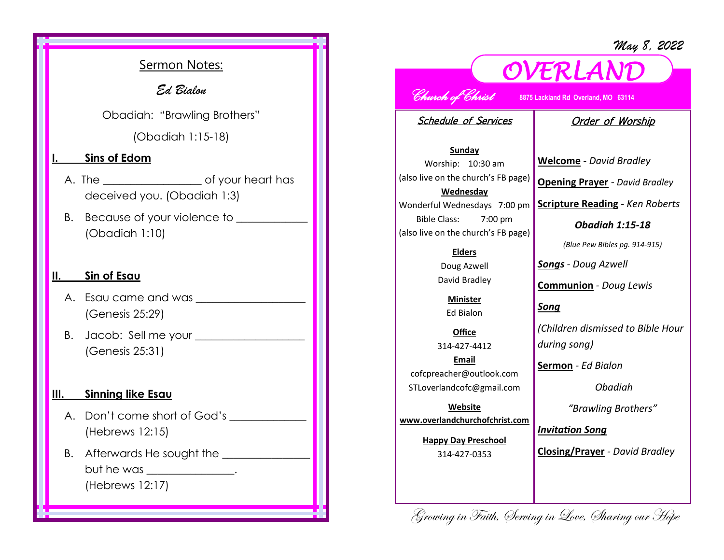*May 8, 2022*

## Sermon Notes:

*Ed Bialon* 

Obadiah: "Brawling Brothers"

(Obadiah 1:15-18)

#### **<u>Sins of Edom</u>**

- A. The \_\_\_\_\_\_\_\_\_\_\_\_\_\_\_\_\_\_ of your heart has deceived you. (Obadiah 1:3)
- B. Because of your violence to \_\_\_\_\_\_\_\_\_\_\_ (Obadiah 1:10)

#### **Sin of Esau**

- A. Esau came and was (Genesis 25:29)
- B. Jacob: Sell me your \_\_\_\_\_\_\_\_\_\_\_\_\_\_\_\_\_\_\_\_ (Genesis 25:31)

#### **III. Sinning like Esau**

- A. Don't come short of God's (Hebrews 12:15)
- B. Afterwards He sought the but he was \_\_\_\_\_\_\_\_\_\_\_\_\_\_. (Hebrews 12:17)

# *OVERLAND*

*Church of Christ* **8875 Lackland Rd Overland, MO 63114** 

Schedule of Services

### Order of Worship

**Sunday** Worship: 10:30 am (also live on the church's FB page) **Wednesday** Wonderful Wednesdays 7:00 pm Bible Class: 7:00 pm (also live on the church's FB page)

**Elders**

Doug Azwell David Bradley

**Minister** Ed Bialon

**Office** 314-427-4412 **Email** cofcpreacher@outlook.com STLoverlandcofc@gmail.com

**Website www.overlandchurchofchrist.com**

> **Happy Day Preschool** 314-427-0353

**Welcome** *- David Bradley*

**Opening Prayer** *- David Bradley*

**Scripture Reading** *- Ken Roberts* 

*Obadiah 1:15-18*

*(Blue Pew Bibles pg. 914-915)*

*Songs - Doug Azwell*

**Communion** *- Doug Lewis*

*Song*

*(Children dismissed to Bible Hour during song)*

**Sermon** *- Ed Bialon*

*Obadiah* 

*"Brawling Brothers"*

*Invitation Song*

**Closing/Prayer** *- David Bradley*

Growing in Faith, Serving in Love, Sharing our Hope